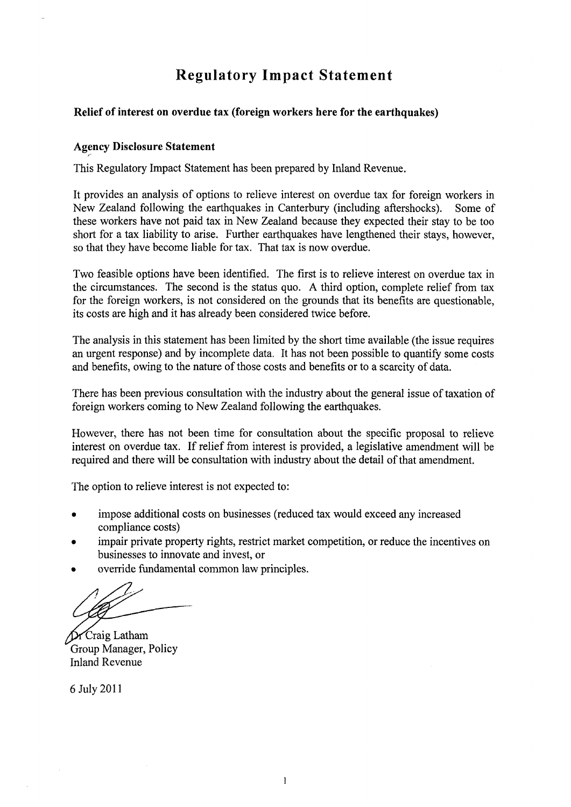# **Regulatory Impact Statement**

#### **Relief of interest on overdue tax (foreign workers here for the earthquakes)**

#### **Agency Disclosure Statement**

This Regulatory Impact Statement has been prepared by Inland Revenue.

It provides an analysis of options to relieve interest on overdue tax for foreign workers in New Zealand following the earthquakes in Canterbury (including aftershocks). Some of these workers have not paid tax in New Zealand because they expected their stay to be too short for a tax liability to arise. Further earthquakes have lengthened their stays, however, so that they have become liable for tax. That tax is now overdue.

Two feasible options have been identified. The first is to relieve interest on overdue tax in the circumstances. The second is the status quo. A third option, complete relief from tax for the foreign workers, is not considered on the grounds that its benefits are questionable, its costs are high and it has already been considered twice before.

The analysis in this statement has been limited by the short time available (the issue requires an urgent response) and by incomplete data. It has not been possible to quantify some costs and benefits, owing to the nature of those costs and benefits or to a scarcity of data.

There has been previous consultation with the industry about the general issue of taxation of foreign workers coming to New Zealand following the earthquakes.

However, there has not been time for consultation about the specific proposal to relieve interest on overdue tax. If relief from interest is provided, a legislative amendment will be required and there will be consultation with industry about the detail of that amendment.

The option to relieve interest is not expected to:

- impose additional costs on businesses (reduced tax would exceed any increased compliance costs)
- impair private property rights, restrict market competition, or reduce the incentives on businesses to innovate and invest, or
- override fundamental common law principles.

Craig Latham Group Manager, Policy Inland Revenue

6 July 2011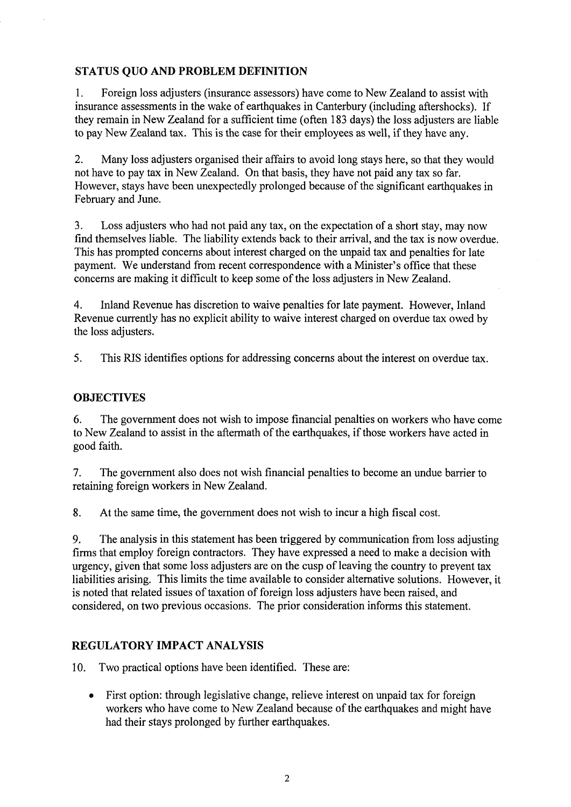## **STATUS QUO AND PROBLEM DEFINITION**

1. Foreign loss adjusters (insurance assessors) have come to New Zealand to assist with insurance assessments in the wake of earthquakes in Canterbury (including aftershocks). If they remain in New Zealand for a sufficient time (often 183 days) the loss adjusters are liable to pay New Zealand tax. This is the case for their employees as well, if they have any.

2. Many loss adjusters organised their affairs to avoid long stays here, so that they would not have to pay tax in New Zealand. On that basis, they have not paid any tax so far. However, stays have been unexpectedly prolonged because of the significant earthquakes in February and June.

3. Loss adjusters who had not paid any tax, on the expectation of a short stay, may now find themselves liable. The liability extends back to their arrival, and the tax is now overdue. This has prompted concerns about interest charged on the unpaid tax and penalties for late payment. We understand from recent correspondence with a Minister's office that these concerns are making it difficult to keep some of the loss adjusters in New Zealand.

4. Inland Revenue has discretion to waive penalties for late payment. However, Inland Revenue currently has no explicit ability to waive interest charged on overdue tax owed by the loss adjusters.

5. This RIS identifies options for addressing concerns about the interest on overdue tax.

## **OBJECTIVES**

6. The government does not wish to impose financial penalties on workers who have come to New Zealand to assist in the aftermath of the earthquakes, if those workers have acted in good faith.

7. The government also does not wish financial penalties to become an undue barrier to retaining foreign workers in New Zealand.

8. At the same time, the government does not wish to incur a high fiscal cost.

9. The analysis in this statement has been triggered by communication from loss adjusting firms that employ foreign contractors. They have expressed a need to make a decision with urgency, given that some loss adjusters are on the cusp of leaving the country to prevent tax liabilities arising. This limits the time available to consider alternative solutions. However, it is noted that related issues of taxation of foreign loss adjusters have been raised, and considered, on two previous occasions. The prior consideration informs this statement.

## **REGULATORY IMPACT ANALYSIS**

10. Two practical options have been identified. These are:

• First option: through legislative change, relieve interest on unpaid tax for foreign workers who have come to New Zealand because of the earthquakes and might have had their stays prolonged by further earthquakes.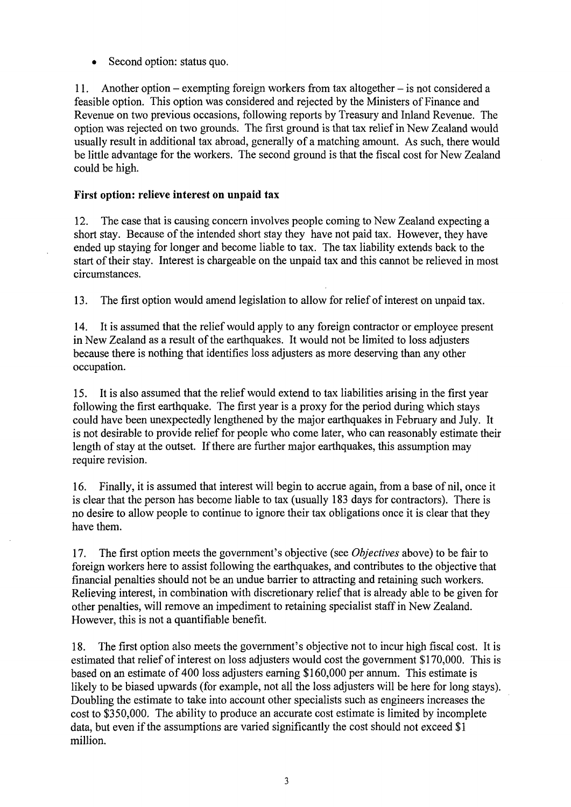• Second option: status quo.

11. Another option - exempting foreign workers from tax altogether - is not considered a feasible option. This option was considered and rejected by the Ministers of Finance and Revenue on two previous occasions, following reports by Treasury and Inland Revenue. The option was rejected on two grounds. The first ground is that tax relief in New Zealand would usually result in additional tax abroad, generally of a matching amount. As such, there would be little advantage for the workers. The second ground is that the fiscal cost for New Zealand could be high.

## **First option: relieve interest on unpaid tax**

12. The case that is causing concern involves people coming to New Zealand expecting a short stay. Because of the intended short stay they have not paid tax. However, they have ended up staying for longer and become liable to tax. The tax liability extends back to the start of their stay. Interest is chargeable on the unpaid tax and this cannot be relieved in most circumstances.

13. The first option would amend legislation to allow for relief of interest on unpaid tax.

14. It is assumed that the relief would apply to any foreign contractor or employee present in New Zealand as a result of the earthquakes. It would not be limited to loss adjusters because there is nothing that identifies loss adjusters as more deserving than any other occupation.

15. It is also assumed that the relief would extend to tax liabilities arising in the first year following the first earthquake. The first year is a proxy for the period during which stays could have been unexpectedly lengthened by the major earthquakes in February and July. It is not desirable to provide relief for people who come later, who can reasonably estimate their length of stay at the outset. If there are further major earthquakes, this assumption may require revision.

16. Finally, it is assumed that interest will begin to accrue again, from a base of nil, once it is clear that the person has become liable to tax (usually 183 days for contractors). There is no desire to allow people to continue to ignore their tax obligations once it is clear that they have them.

17. The first option meets the government's objective (see *Objectives* above) to be fair to foreign workers here to assist following the earthquakes, and contributes to the objective that financial penalties should not be an undue barrier to attracting and retaining such workers. Relieving interest, in combination with discretionary relief that is already able to be given for other penalties, will remove an impediment to retaining specialist staff in New Zealand. However, this is not a quantifiable benefit.

18. The first option also meets the government's objective not to incur high fiscal cost. It is estimated that relief of interest on loss adjusters would cost the government \$170,000. This is based on an estimate of 400 loss adjusters earning \$160,000 per annum. This estimate is likely to be biased upwards (for example, not all the loss adjusters will be here for long stays). Doubling the estimate to take into account other specialists such as engineers increases the cost to \$350,000. The ability to produce an accurate cost estimate is limited by incomplete data, but even if the assumptions are varied significantly the cost should not exceed \$1 million.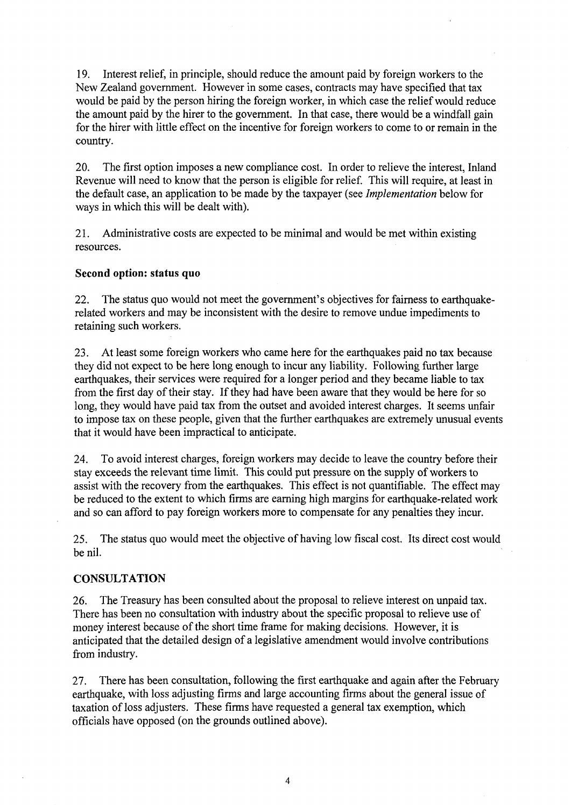19. Interest relief, in principle, should reduce the amount paid by foreign workers to the New Zealand government. However in some cases, contracts may have specified that tax would be paid by the person hiring the foreign worker, in which case the relief would reduce the amount paid by the hirer to the government. In that case, there would be a windfall gain for the hirer with little effect on the incentive for foreign workers to come to or remain in the country.

20. The first option imposes a new compliance cost. In order to relieve the interest, Inland Revenue will need to know that the person is eligible for relief. This will require, at least in the default case, an application to be made by the taxpayer (see *Implementation* below for ways in which this will be dealt with).

21. Administrative costs are expected to be minimal and would be met within existing resources.

### **Second option: status quo**

22. The status quo would not meet the government's objectives for fairness to earthquakerelated workers and may be inconsistent with the desire to remove undue impediments to retaining such workers.

23. At least some foreign workers who came here for the earthquakes paid no tax because they did not expect to be here long enough to incur any liability. Following further large earthquakes, their services were required for a longer period and they became liable to tax from the first day of their stay. If they had have been aware that they would be here for so long, they would have paid tax from the outset and avoided interest charges. It seems unfair to impose tax on these people, given that the further earthquakes are extremely unusual events that it would have been impractical to anticipate.

24. To avoid interest charges, foreign workers may decide to leave the country before their stay exceeds the relevant time limit. This could put pressure on the supply of workers to assist with the recovery from the earthquakes. This effect is not quantifiable. The effect may be reduced to the extent to which firms are earning high margins for earthquake-related work and so can afford to pay foreign workers more to compensate for any penalties they incur.

25. The status quo would meet the objective of having low fiscal cost. Its direct cost would be nil.

### **CONSULTATION**

26. The Treasury has been consulted about the proposal to relieve interest on unpaid tax. There has been no consultation with industry about the specific proposal to relieve use of money interest because of the short time frame for making decisions. However, it is anticipated that the detailed design of a legislative amendment would involve contributions from industry.

27. There has been consultation, following the first earthquake and again after the February earthquake, with loss adjusting firms and large accounting firms about the general issue of taxation of loss adjusters. These firms have requested a general tax exemption, which officials have opposed (on the grounds outlined above).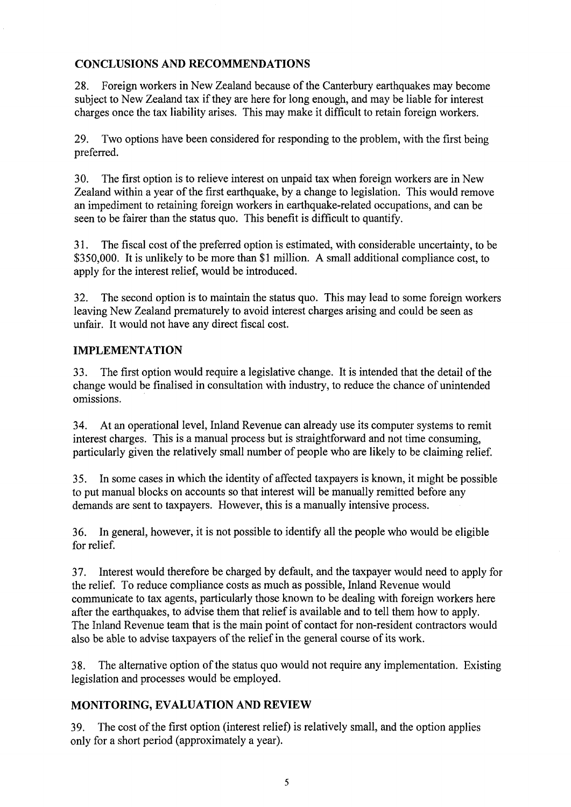# **CONCLUSIONS AND RECOMMENDATIONS**

28. Foreign workers in New Zealand because of the Canterbury earthquakes may become subject to New Zealand tax if they are here for long enough, and may be liable for interest charges once the tax liability arises. This may make it difficult to retain foreign workers.

29. Two options have been considered for responding to the problem, with the first being preferred.

30. The first option is to relieve interest on unpaid tax when foreign workers are in New Zealand within a year of the first earthquake, by a change to legislation. This would remove an impediment to retaining foreign workers in earthquake-related occupations, and can be seen to be fairer than the status quo. This benefit is difficult to quantify.

31. The fiscal cost of the preferred option is estimated, with considerable uncertainty, to be \$350,000. It is unlikely to be more than \$1 million. A small additional compliance cost, to apply for the interest relief, would be introduced.

32. The second option is to maintain the status quo. This may lead to some foreign workers leaving New Zealand prematurely to avoid interest charges arising and could be seen as unfair. It would not have any direct fiscal cost.

# **IMPLEMENTATION**

33. The first option would require a legislative change. It is intended that the detail of the change would be finalised in consultation with industry, to reduce the chance of unintended omissions.

34. At an operational level, Inland Revenue can already use its computer systems to remit interest charges. This is a manual process but is straightforward and not time consuming, particularly given the relatively small number of people who are likely to be claiming relief.

35. In some cases in which the identity of affected taxpayers is known, it might be possible to put manual blocks on accounts so that interest will be manually remitted before any demands are sent to taxpayers. However, this is a manually intensive process.

36. In general, however, it is not possible to identify all the people who would be eligible for relief.

37. Interest would therefore be charged by default, and the taxpayer would need to apply for the relief. To reduce compliance costs as much as possible, Inland Revenue would communicate to tax agents, particularly those known to be dealing with foreign workers here after the earthquakes, to advise them that relief is available and to tell them how to apply. The Inland Revenue team that is the main point of contact for non-resident contractors would also be able to advise taxpayers of the relief in the general course of its work.

38. The alternative option of the status quo would not require any implementation. Existing legislation and processes would be employed.

# **MONITORING, EVALUATION AND REVIEW**

39. The cost of the first option (interest relief) is relatively small, and the option applies only for a short period (approximately a year).